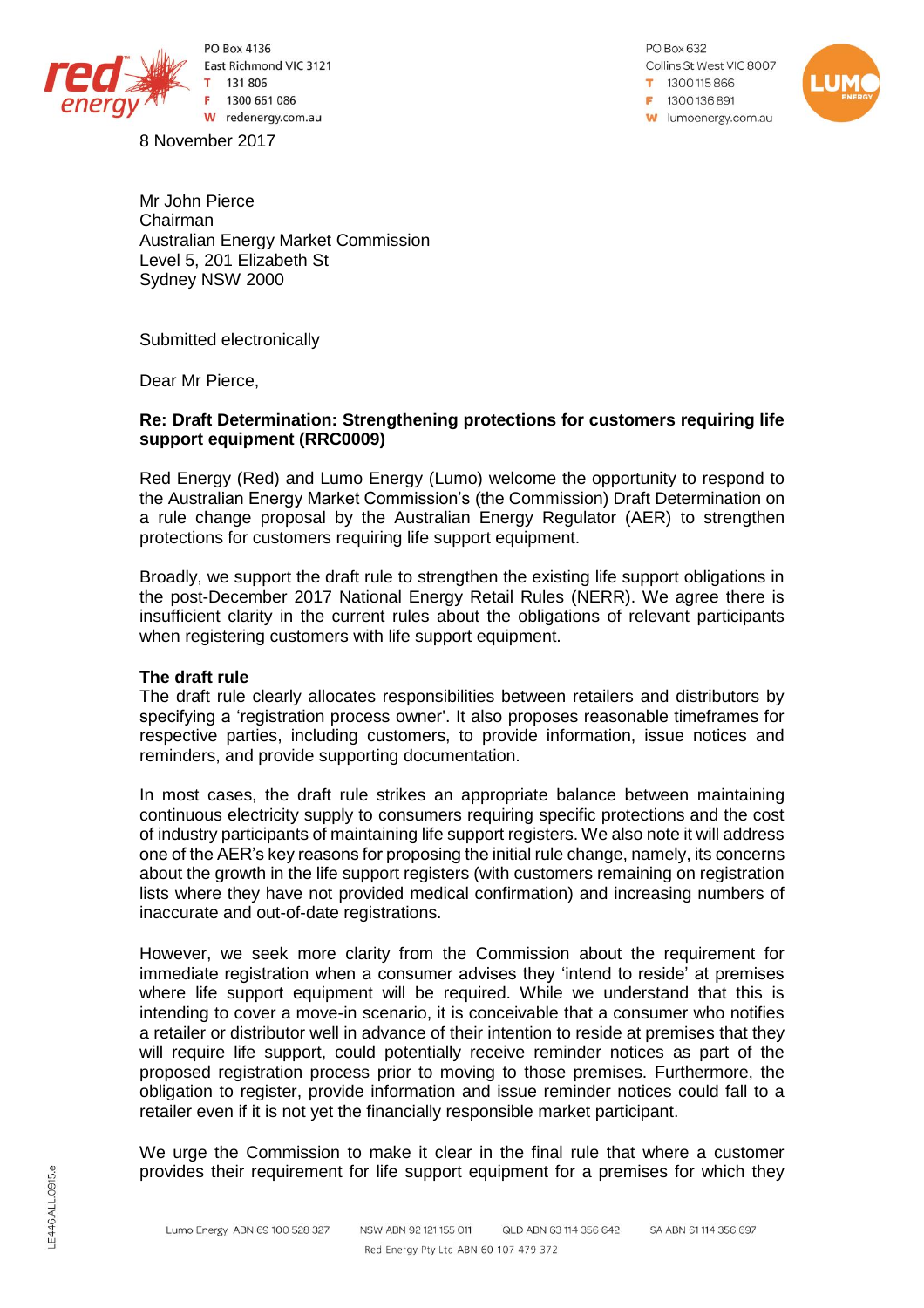

PO Box 4136 East Richmond VIC 3121 131 806 1300 661 086 W redenergy.com.au

8 November 2017

PO Box 632 Collins St West VIC 8007 1300115866  $= 1300136891$ **W** lumoenergy.com.au



Mr John Pierce Chairman Australian Energy Market Commission Level 5, 201 Elizabeth St Sydney NSW 2000

Submitted electronically

Dear Mr Pierce,

# **Re: Draft Determination: Strengthening protections for customers requiring life support equipment (RRC0009)**

Red Energy (Red) and Lumo Energy (Lumo) welcome the opportunity to respond to the Australian Energy Market Commission's (the Commission) Draft Determination on a rule change proposal by the Australian Energy Regulator (AER) to strengthen protections for customers requiring life support equipment.

Broadly, we support the draft rule to strengthen the existing life support obligations in the post-December 2017 National Energy Retail Rules (NERR). We agree there is insufficient clarity in the current rules about the obligations of relevant participants when registering customers with life support equipment.

## **The draft rule**

The draft rule clearly allocates responsibilities between retailers and distributors by specifying a 'registration process owner'. It also proposes reasonable timeframes for respective parties, including customers, to provide information, issue notices and reminders, and provide supporting documentation.

In most cases, the draft rule strikes an appropriate balance between maintaining continuous electricity supply to consumers requiring specific protections and the cost of industry participants of maintaining life support registers. We also note it will address one of the AER's key reasons for proposing the initial rule change, namely, its concerns about the growth in the life support registers (with customers remaining on registration lists where they have not provided medical confirmation) and increasing numbers of inaccurate and out-of-date registrations.

However, we seek more clarity from the Commission about the requirement for immediate registration when a consumer advises they 'intend to reside' at premises where life support equipment will be required. While we understand that this is intending to cover a move-in scenario, it is conceivable that a consumer who notifies a retailer or distributor well in advance of their intention to reside at premises that they will require life support, could potentially receive reminder notices as part of the proposed registration process prior to moving to those premises. Furthermore, the obligation to register, provide information and issue reminder notices could fall to a retailer even if it is not yet the financially responsible market participant.

We urge the Commission to make it clear in the final rule that where a customer provides their requirement for life support equipment for a premises for which they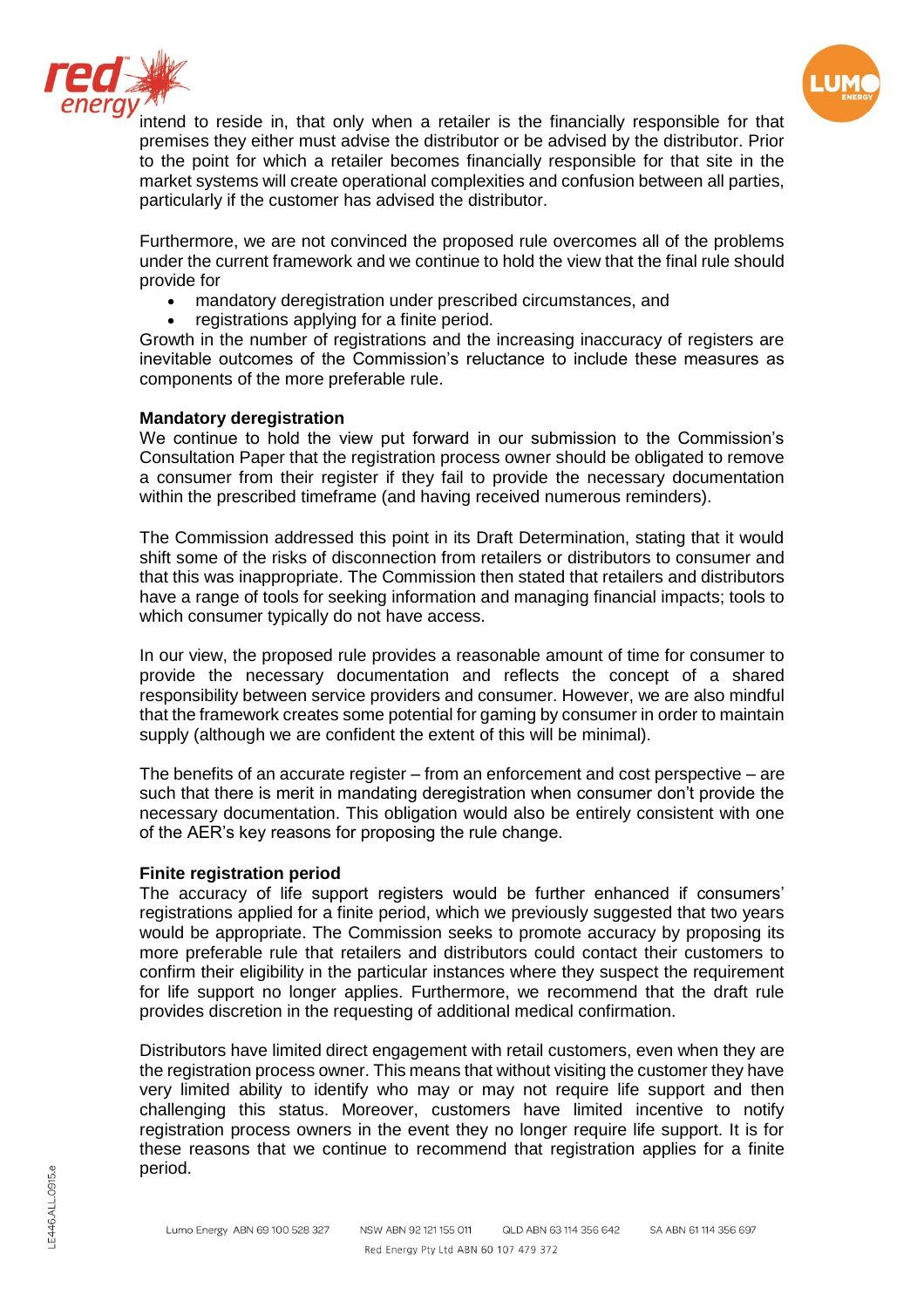



intend to reside in, that only when a retailer is the financially responsible for that premises they either must advise the distributor or be advised by the distributor. Prior to the point for which a retailer becomes financially responsible for that site in the market systems will create operational complexities and confusion between all parties, particularly if the customer has advised the distributor.

Furthermore, we are not convinced the proposed rule overcomes all of the problems under the current framework and we continue to hold the view that the final rule should provide for

- mandatory deregistration under prescribed circumstances, and
- registrations applying for a finite period.

Growth in the number of registrations and the increasing inaccuracy of registers are inevitable outcomes of the Commission's reluctance to include these measures as components of the more preferable rule.

## **Mandatory deregistration**

We continue to hold the view put forward in our submission to the Commission's Consultation Paper that the registration process owner should be obligated to remove a consumer from their register if they fail to provide the necessary documentation within the prescribed timeframe (and having received numerous reminders).

The Commission addressed this point in its Draft Determination, stating that it would shift some of the risks of disconnection from retailers or distributors to consumer and that this was inappropriate. The Commission then stated that retailers and distributors have a range of tools for seeking information and managing financial impacts; tools to which consumer typically do not have access.

In our view, the proposed rule provides a reasonable amount of time for consumer to provide the necessary documentation and reflects the concept of a shared responsibility between service providers and consumer. However, we are also mindful that the framework creates some potential for gaming by consumer in order to maintain supply (although we are confident the extent of this will be minimal).

The benefits of an accurate register – from an enforcement and cost perspective – are such that there is merit in mandating deregistration when consumer don't provide the necessary documentation. This obligation would also be entirely consistent with one of the AER's key reasons for proposing the rule change.

## **Finite registration period**

The accuracy of life support registers would be further enhanced if consumers' registrations applied for a finite period, which we previously suggested that two years would be appropriate. The Commission seeks to promote accuracy by proposing its more preferable rule that retailers and distributors could contact their customers to confirm their eligibility in the particular instances where they suspect the requirement for life support no longer applies. Furthermore, we recommend that the draft rule provides discretion in the requesting of additional medical confirmation.

Distributors have limited direct engagement with retail customers, even when they are the registration process owner. This means that without visiting the customer they have very limited ability to identify who may or may not require life support and then challenging this status. Moreover, customers have limited incentive to notify registration process owners in the event they no longer require life support. It is for these reasons that we continue to recommend that registration applies for a finite period.